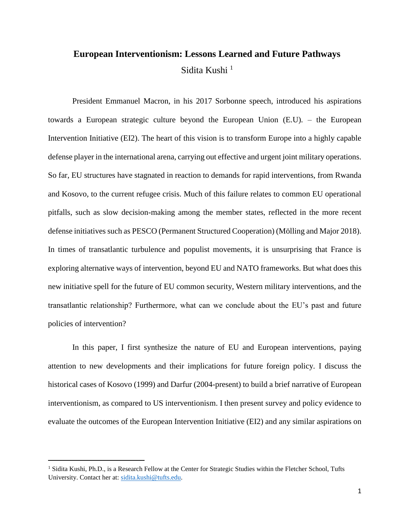# **European Interventionism: Lessons Learned and Future Pathways**  Sidita Kushi<sup>1</sup>

President Emmanuel Macron, in his 2017 Sorbonne speech, introduced his aspirations towards a European strategic culture beyond the European Union (E.U). – the European Intervention Initiative (EI2). The heart of this vision is to transform Europe into a highly capable defense player in the international arena, carrying out effective and urgent joint military operations. So far, EU structures have stagnated in reaction to demands for rapid interventions, from Rwanda and Kosovo, to the current refugee crisis. Much of this failure relates to common EU operational pitfalls, such as slow decision-making among the member states, reflected in the more recent defense initiatives such as PESCO (Permanent Structured Cooperation) (Mölling and Major 2018). In times of transatlantic turbulence and populist movements, it is unsurprising that France is exploring alternative ways of intervention, beyond EU and NATO frameworks. But what does this new initiative spell for the future of EU common security, Western military interventions, and the transatlantic relationship? Furthermore, what can we conclude about the EU's past and future policies of intervention?

In this paper, I first synthesize the nature of EU and European interventions, paying attention to new developments and their implications for future foreign policy. I discuss the historical cases of Kosovo (1999) and Darfur (2004-present) to build a brief narrative of European interventionism, as compared to US interventionism. I then present survey and policy evidence to evaluate the outcomes of the European Intervention Initiative (EI2) and any similar aspirations on

 $\overline{a}$ 

<sup>&</sup>lt;sup>1</sup> Sidita Kushi, Ph.D., is a Research Fellow at the Center for Strategic Studies within the Fletcher School, Tufts University. Contact her at: sidita.kushi@tufts.edu.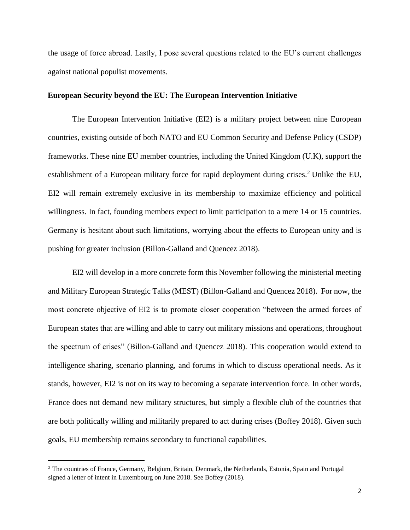the usage of force abroad. Lastly, I pose several questions related to the EU's current challenges against national populist movements.

## **European Security beyond the EU: The European Intervention Initiative**

The European Intervention Initiative (EI2) is a military project between nine European countries, existing outside of both NATO and EU Common Security and Defense Policy (CSDP) frameworks. These nine EU member countries, including the United Kingdom (U.K), support the establishment of a European military force for rapid deployment during crises.<sup>2</sup> Unlike the EU, EI2 will remain extremely exclusive in its membership to maximize efficiency and political willingness. In fact, founding members expect to limit participation to a mere 14 or 15 countries. Germany is hesitant about such limitations, worrying about the effects to European unity and is pushing for greater inclusion (Billon-Galland and Quencez 2018).

EI2 will develop in a more concrete form this November following the ministerial meeting and Military European Strategic Talks (MEST) (Billon-Galland and Quencez 2018). For now, the most concrete objective of EI2 is to promote closer cooperation "between the armed forces of European states that are willing and able to carry out military missions and operations, throughout the spectrum of crises" (Billon-Galland and Quencez 2018). This cooperation would extend to intelligence sharing, scenario planning, and forums in which to discuss operational needs. As it stands, however, EI2 is not on its way to becoming a separate intervention force. In other words, France does not demand new military structures, but simply a flexible club of the countries that are both politically willing and militarily prepared to act during crises (Boffey 2018). Given such goals, EU membership remains secondary to functional capabilities.

 $\overline{a}$ 

<sup>&</sup>lt;sup>2</sup> The countries of France, Germany, Belgium, Britain, Denmark, the Netherlands, Estonia, Spain and Portugal signed a letter of intent in Luxembourg on June 2018. See Boffey (2018).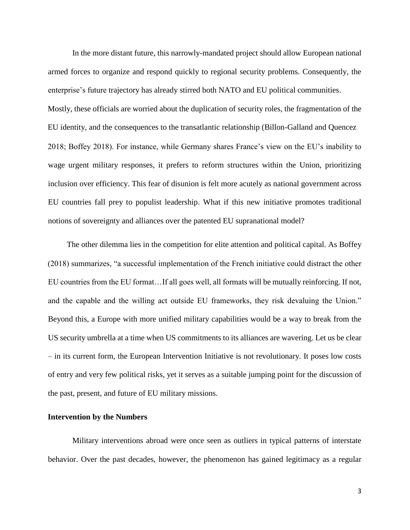In the more distant future, this narrowly-mandated project should allow European national armed forces to organize and respond quickly to regional security problems. Consequently, the enterprise's future trajectory has already stirred both NATO and EU political communities. Mostly, these officials are worried about the duplication of security roles, the fragmentation of the EU identity, and the consequences to the transatlantic relationship (Billon-Galland and Quencez 2018; Boffey 2018). For instance, while Germany shares France's view on the EU's inability to wage urgent military responses, it prefers to reform structures within the Union, prioritizing inclusion over efficiency. This fear of disunion is felt more acutely as national government across EU countries fall prey to populist leadership. What if this new initiative promotes traditional notions of sovereignty and alliances over the patented EU supranational model?

The other dilemma lies in the competition for elite attention and political capital. As Boffey (2018) summarizes, "a successful implementation of the French initiative could distract the other EU countries from the EU format…If all goes well, all formats will be mutually reinforcing. If not, and the capable and the willing act outside EU frameworks, they risk devaluing the Union." Beyond this, a Europe with more unified military capabilities would be a way to break from the US security umbrella at a time when US commitments to its alliances are wavering. Let us be clear – in its current form, the European Intervention Initiative is not revolutionary. It poses low costs of entry and very few political risks, yet it serves as a suitable jumping point for the discussion of the past, present, and future of EU military missions.

# **Intervention by the Numbers**

Military interventions abroad were once seen as outliers in typical patterns of interstate behavior. Over the past decades, however, the phenomenon has gained legitimacy as a regular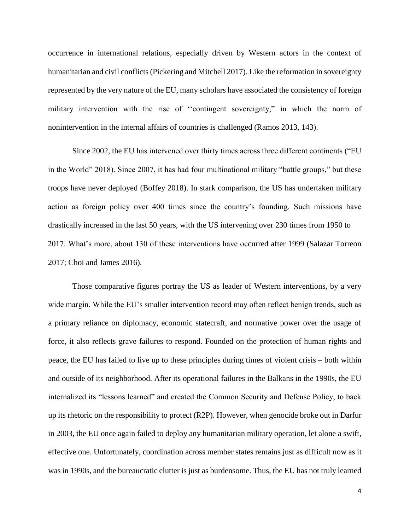occurrence in international relations, especially driven by Western actors in the context of humanitarian and civil conflicts (Pickering and Mitchell 2017). Like the reformation in sovereignty represented by the very nature of the EU, many scholars have associated the consistency of foreign military intervention with the rise of ''contingent sovereignty," in which the norm of nonintervention in the internal affairs of countries is challenged (Ramos 2013, 143).

Since 2002, the EU has intervened over thirty times across three different continents ("EU in the World" 2018). Since 2007, it has had four multinational military "battle groups," but these troops have never deployed (Boffey 2018). In stark comparison, the US has undertaken military action as foreign policy over 400 times since the country's founding. Such missions have drastically increased in the last 50 years, with the US intervening over 230 times from 1950 to 2017. What's more, about 130 of these interventions have occurred after 1999 (Salazar Torreon 2017; Choi and James 2016).

Those comparative figures portray the US as leader of Western interventions, by a very wide margin. While the EU's smaller intervention record may often reflect benign trends, such as a primary reliance on diplomacy, economic statecraft, and normative power over the usage of force, it also reflects grave failures to respond. Founded on the protection of human rights and peace, the EU has failed to live up to these principles during times of violent crisis – both within and outside of its neighborhood. After its operational failures in the Balkans in the 1990s, the EU internalized its "lessons learned" and created the Common Security and Defense Policy, to back up its rhetoric on the responsibility to protect (R2P). However, when genocide broke out in Darfur in 2003, the EU once again failed to deploy any humanitarian military operation, let alone a swift, effective one. Unfortunately, coordination across member states remains just as difficult now as it was in 1990s, and the bureaucratic clutter is just as burdensome. Thus, the EU has not truly learned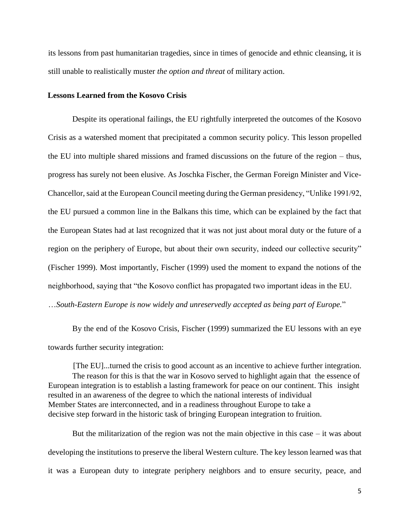its lessons from past humanitarian tragedies, since in times of genocide and ethnic cleansing, it is still unable to realistically muster *the option and threat* of military action.

## **Lessons Learned from the Kosovo Crisis**

Despite its operational failings, the EU rightfully interpreted the outcomes of the Kosovo Crisis as a watershed moment that precipitated a common security policy. This lesson propelled the EU into multiple shared missions and framed discussions on the future of the region – thus, progress has surely not been elusive. As Joschka Fischer, the German Foreign Minister and Vice-Chancellor, said at the European Council meeting during the German presidency, "Unlike 1991/92, the EU pursued a common line in the Balkans this time, which can be explained by the fact that the European States had at last recognized that it was not just about moral duty or the future of a region on the periphery of Europe, but about their own security, indeed our collective security" (Fischer 1999). Most importantly, Fischer (1999) used the moment to expand the notions of the neighborhood, saying that "the Kosovo conflict has propagated two important ideas in the EU. …*South-Eastern Europe is now widely and unreservedly accepted as being part of Europe.*"

By the end of the Kosovo Crisis, Fischer (1999) summarized the EU lessons with an eye towards further security integration:

[The EU]...turned the crisis to good account as an incentive to achieve further integration. The reason for this is that the war in Kosovo served to highlight again that the essence of European integration is to establish a lasting framework for peace on our continent. This insight resulted in an awareness of the degree to which the national interests of individual Member States are interconnected, and in a readiness throughout Europe to take a decisive step forward in the historic task of bringing European integration to fruition.

But the militarization of the region was not the main objective in this case  $-$  it was about developing the institutions to preserve the liberal Western culture. The key lesson learned was that it was a European duty to integrate periphery neighbors and to ensure security, peace, and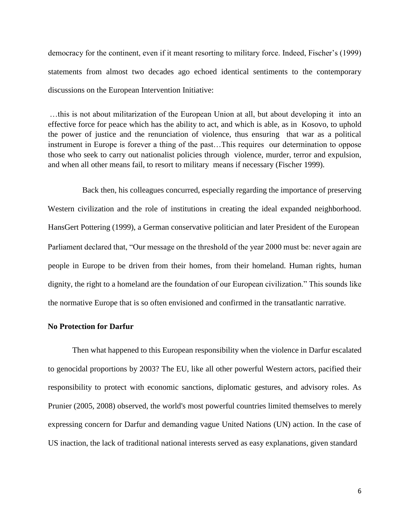democracy for the continent, even if it meant resorting to military force. Indeed, Fischer's (1999) statements from almost two decades ago echoed identical sentiments to the contemporary discussions on the European Intervention Initiative:

…this is not about militarization of the European Union at all, but about developing it into an effective force for peace which has the ability to act, and which is able, as in Kosovo, to uphold the power of justice and the renunciation of violence, thus ensuring that war as a political instrument in Europe is forever a thing of the past…This requires our determination to oppose those who seek to carry out nationalist policies through violence, murder, terror and expulsion, and when all other means fail, to resort to military means if necessary (Fischer 1999).

Back then, his colleagues concurred, especially regarding the importance of preserving Western civilization and the role of institutions in creating the ideal expanded neighborhood. HansGert Pottering (1999), a German conservative politician and later President of the European Parliament declared that, "Our message on the threshold of the year 2000 must be: never again are people in Europe to be driven from their homes, from their homeland. Human rights, human dignity, the right to a homeland are the foundation of our European civilization." This sounds like the normative Europe that is so often envisioned and confirmed in the transatlantic narrative.

#### **No Protection for Darfur**

Then what happened to this European responsibility when the violence in Darfur escalated to genocidal proportions by 2003? The EU, like all other powerful Western actors, pacified their responsibility to protect with economic sanctions, diplomatic gestures, and advisory roles. As Prunier (2005, 2008) observed, the world's most powerful countries limited themselves to merely expressing concern for Darfur and demanding vague United Nations (UN) action. In the case of US inaction, the lack of traditional national interests served as easy explanations, given standard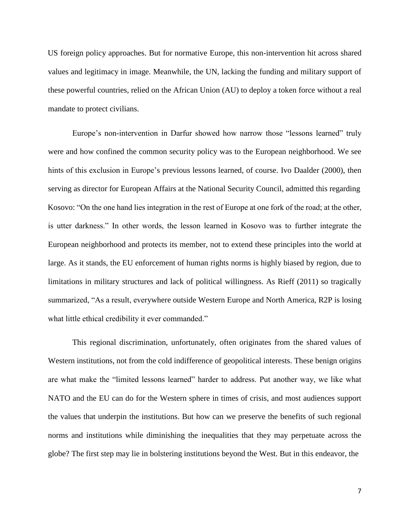US foreign policy approaches. But for normative Europe, this non-intervention hit across shared values and legitimacy in image. Meanwhile, the UN, lacking the funding and military support of these powerful countries, relied on the African Union (AU) to deploy a token force without a real mandate to protect civilians.

Europe's non-intervention in Darfur showed how narrow those "lessons learned" truly were and how confined the common security policy was to the European neighborhood. We see hints of this exclusion in Europe's previous lessons learned, of course. Ivo Daalder (2000), then serving as director for European Affairs at the National Security Council, admitted this regarding Kosovo: "On the one hand lies integration in the rest of Europe at one fork of the road; at the other, is utter darkness." In other words, the lesson learned in Kosovo was to further integrate the European neighborhood and protects its member, not to extend these principles into the world at large. As it stands, the EU enforcement of human rights norms is highly biased by region, due to limitations in military structures and lack of political willingness. As Rieff (2011) so tragically summarized, "As a result, everywhere outside Western Europe and North America, R2P is losing what little ethical credibility it ever commanded."

This regional discrimination, unfortunately, often originates from the shared values of Western institutions, not from the cold indifference of geopolitical interests. These benign origins are what make the "limited lessons learned" harder to address. Put another way, we like what NATO and the EU can do for the Western sphere in times of crisis, and most audiences support the values that underpin the institutions. But how can we preserve the benefits of such regional norms and institutions while diminishing the inequalities that they may perpetuate across the globe? The first step may lie in bolstering institutions beyond the West. But in this endeavor, the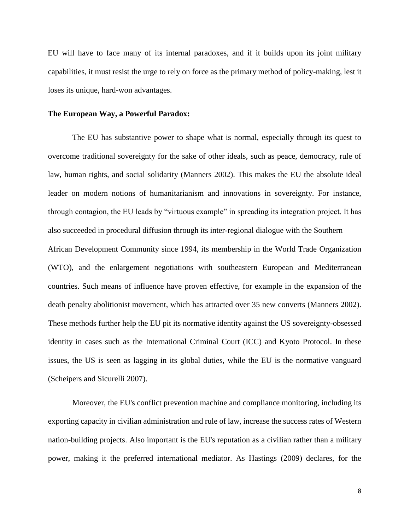EU will have to face many of its internal paradoxes, and if it builds upon its joint military capabilities, it must resist the urge to rely on force as the primary method of policy-making, lest it loses its unique, hard-won advantages.

#### **The European Way, a Powerful Paradox:**

The EU has substantive power to shape what is normal, especially through its quest to overcome traditional sovereignty for the sake of other ideals, such as peace, democracy, rule of law, human rights, and social solidarity (Manners 2002). This makes the EU the absolute ideal leader on modern notions of humanitarianism and innovations in sovereignty. For instance, through contagion, the EU leads by "virtuous example" in spreading its integration project. It has also succeeded in procedural diffusion through its inter-regional dialogue with the Southern African Development Community since 1994, its membership in the World Trade Organization (WTO), and the enlargement negotiations with southeastern European and Mediterranean countries. Such means of influence have proven effective, for example in the expansion of the death penalty abolitionist movement, which has attracted over 35 new converts (Manners 2002). These methods further help the EU pit its normative identity against the US sovereignty-obsessed identity in cases such as the International Criminal Court (ICC) and Kyoto Protocol. In these issues, the US is seen as lagging in its global duties, while the EU is the normative vanguard (Scheipers and Sicurelli 2007).

Moreover, the EU's conflict prevention machine and compliance monitoring, including its exporting capacity in civilian administration and rule of law, increase the success rates of Western nation-building projects. Also important is the EU's reputation as a civilian rather than a military power, making it the preferred international mediator. As Hastings (2009) declares, for the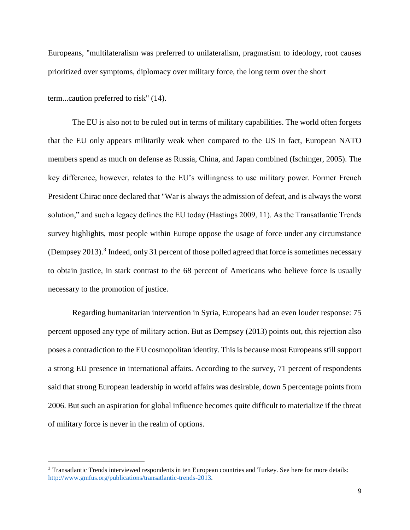Europeans, "multilateralism was preferred to unilateralism, pragmatism to ideology, root causes prioritized over symptoms, diplomacy over military force, the long term over the short

term...caution preferred to risk" (14).

 $\overline{a}$ 

The EU is also not to be ruled out in terms of military capabilities. The world often forgets that the EU only appears militarily weak when compared to the US In fact, European NATO members spend as much on defense as Russia, China, and Japan combined (Ischinger, 2005). The key difference, however, relates to the EU's willingness to use military power. Former French President Chirac once declared that "War is always the admission of defeat, and is always the worst solution," and such a legacy defines the EU today (Hastings 2009, 11). As the Transatlantic Trends survey highlights, most people within Europe oppose the usage of force under any circumstance (Dempsey 2013).<sup>3</sup> Indeed, only 31 percent of those polled agreed that force is sometimes necessary to obtain justice, in stark contrast to the 68 percent of Americans who believe force is usually necessary to the promotion of justice.

Regarding humanitarian intervention in Syria, Europeans had an even louder response: 75 percent opposed any type of military action. But as Dempsey (2013) points out, this rejection also poses a contradiction to the EU cosmopolitan identity. This is because most Europeans still support a strong EU presence in international affairs. According to the survey, 71 percent of respondents said that strong European leadership in world affairs was desirable, down 5 percentage points from 2006. But such an aspiration for global influence becomes quite difficult to materialize if the threat of military force is never in the realm of options.

<sup>3</sup> Transatlantic Trends interviewed respondents in ten European countries and Turkey. See here for more details: [http://www.gmfus.org/publications/transatlantic-trends-2013.](http://www.gmfus.org/publications/transatlantic-trends-2013)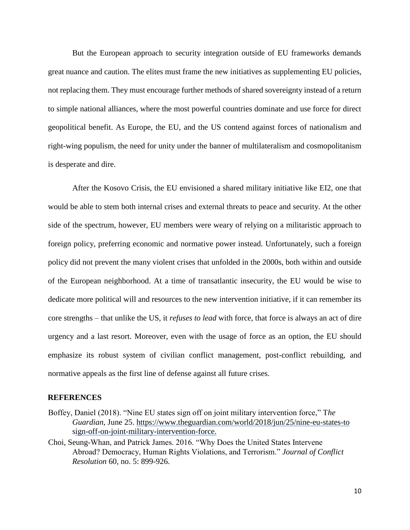But the European approach to security integration outside of EU frameworks demands great nuance and caution. The elites must frame the new initiatives as supplementing EU policies, not replacing them. They must encourage further methods of shared sovereignty instead of a return to simple national alliances, where the most powerful countries dominate and use force for direct geopolitical benefit. As Europe, the EU, and the US contend against forces of nationalism and right-wing populism, the need for unity under the banner of multilateralism and cosmopolitanism is desperate and dire.

After the Kosovo Crisis, the EU envisioned a shared military initiative like EI2, one that would be able to stem both internal crises and external threats to peace and security. At the other side of the spectrum, however, EU members were weary of relying on a militaristic approach to foreign policy, preferring economic and normative power instead. Unfortunately, such a foreign policy did not prevent the many violent crises that unfolded in the 2000s, both within and outside of the European neighborhood. At a time of transatlantic insecurity, the EU would be wise to dedicate more political will and resources to the new intervention initiative, if it can remember its core strengths – that unlike the US, it *refuses to lead* with force, that force is always an act of dire urgency and a last resort. Moreover, even with the usage of force as an option, the EU should emphasize its robust system of civilian conflict management, post-conflict rebuilding, and normative appeals as the first line of defense against all future crises.

## **REFERENCES**

- Boffey, Daniel (2018). "Nine EU states sign off on joint military intervention force," T*he Guardian*, June 25. [https://www.theguardian.com/world/2018/jun/25/nine-eu-states-to](https://www.theguardian.com/world/2018/jun/25/nine-eu-states-to-%09sign-off-on-joint-military-intervention-force) [sign-off-on-joint-military-intervention-force.](https://www.theguardian.com/world/2018/jun/25/nine-eu-states-to-%09sign-off-on-joint-military-intervention-force)
- Choi, Seung-Whan, and Patrick James. 2016. "Why Does the United States Intervene Abroad? Democracy, Human Rights Violations, and Terrorism." *Journal of Conflict Resolution* 60, no. 5: 899-926.